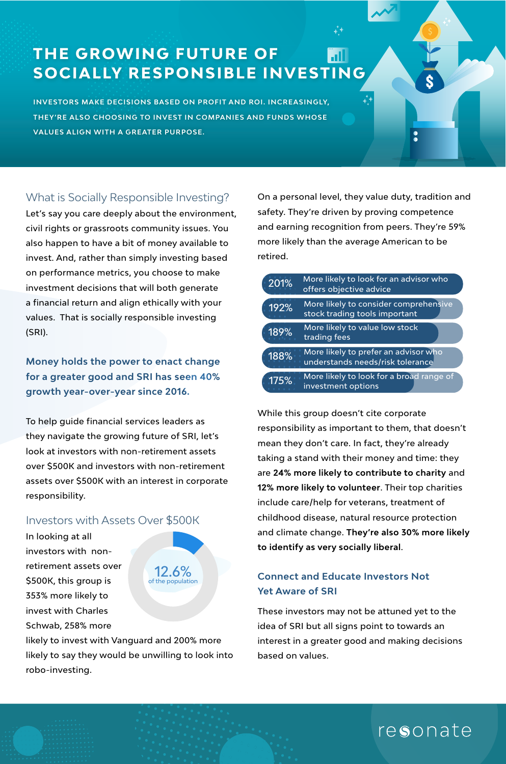## **THE GROWING FUTURE OF SOCIALLY RESPONSIBLE INVESTING**

**INVESTORS MAKE DECISIONS BASED ON PROFIT AND ROI. INCREASINGLY, THEY'RE ALSO CHOOSING TO INVEST IN COMPANIES AND FUNDS WHOSE VALUES ALIGN WITH A GREATER PURPOSE.** 

#### What is Socially Responsible Investing?

Let's say you care deeply about the environment, civil rights or grassroots community issues. You also happen to have a bit of money available to invest. And, rather than simply investing based on performance metrics, you choose to make investment decisions that will both generate a financial return and align ethically with your values. That is socially responsible investing (SRI).

**Money holds the power to enact change for a greater good and SRI has seen 40% growth year-over-year since 2016.**

To help guide financial services leaders as they navigate the growing future of SRI, let's look at investors with non-retirement assets over \$500K and investors with non-retirement assets over \$500K with an interest in corporate responsibility.

#### Investors with Assets Over \$500K

In looking at all investors with nonretirement assets over \$500K, this group is 353% more likely to invest with Charles Schwab, 258% more



likely to invest with Vanguard and 200% more likely to say they would be unwilling to look into robo-investing.

On a personal level, they value duty, tradition and safety. They're driven by proving competence and earning recognition from peers. They're 59% more likely than the average American to be retired.

| 201% | More likely to look for an advisor who<br>offers objective advice        |
|------|--------------------------------------------------------------------------|
| 192% | More likely to consider comprehensive<br>stock trading tools important   |
| 189% | More likely to value low stock<br>trading fees                           |
| 188% | More likely to prefer an advisor who<br>understands needs/risk tolerance |
| 175% | More likely to look for a broad range of<br>investment options           |

While this group doesn't cite corporate responsibility as important to them, that doesn't mean they don't care. In fact, they're already taking a stand with their money and time: they are **24% more likely to contribute to charity** and **12% more likely to volunteer**. Their top charities include care/help for veterans, treatment of childhood disease, natural resource protection and climate change. **They're also 30% more likely to identify as very socially liberal**.

#### **Connect and Educate Investors Not Yet Aware of SRI**

These investors may not be attuned yet to the idea of SRI but all signs point to towards an interest in a greater good and making decisions based on values.

# resonate